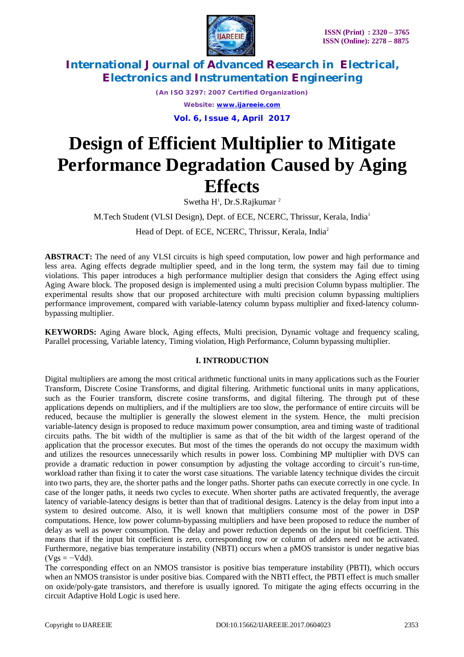

> *(An ISO 3297: 2007 Certified Organization) Website: [www.ijareeie.com](http://www.ijareeie.com)* **Vol. 6, Issue 4, April 2017**

# **Design of Efficient Multiplier to Mitigate Performance Degradation Caused by Aging Effects**

Swetha  $H^1$ , Dr.S.Rajkumar<sup>2</sup>

M.Tech Student (VLSI Design), Dept. of ECE, NCERC, Thrissur, Kerala, India<sup>1</sup>

Head of Dept. of ECE, NCERC, Thrissur, Kerala, India<sup>2</sup>

**ABSTRACT:** The need of any VLSI circuits is high speed computation, low power and high performance and less area. Aging effects degrade multiplier speed, and in the long term, the system may fail due to timing violations. This paper introduces a high performance multiplier design that considers the Aging effect using Aging Aware block. The proposed design is implemented using a multi precision Column bypass multiplier. The experimental results show that our proposed architecture with multi precision column bypassing multipliers performance improvement, compared with variable-latency column bypass multiplier and fixed-latency columnbypassing multiplier.

**KEYWORDS:** Aging Aware block, Aging effects, Multi precision, Dynamic voltage and frequency scaling, Parallel processing, Variable latency, Timing violation, High Performance, Column bypassing multiplier.

## **I. INTRODUCTION**

Digital multipliers are among the most critical arithmetic functional units in many applications such as the Fourier Transform, Discrete Cosine Transforms, and digital filtering. Arithmetic functional units in many applications, such as the Fourier transform, discrete cosine transforms, and digital filtering. The through put of these applications depends on multipliers, and if the multipliers are too slow, the performance of entire circuits will be reduced, because the multiplier is generally the slowest element in the system. Hence, the multi precision variable-latency design is proposed to reduce maximum power consumption, area and timing waste of traditional circuits paths. The bit width of the multiplier is same as that of the bit width of the largest operand of the application that the processor executes. But most of the times the operands do not occupy the maximum width and utilizes the resources unnecessarily which results in power loss. Combining MP multiplier with DVS can provide a dramatic reduction in power consumption by adjusting the voltage according to circuit's run-time, workload rather than fixing it to cater the worst case situations. The variable latency technique divides the circuit into two parts, they are, the shorter paths and the longer paths. Shorter paths can execute correctly in one cycle. In case of the longer paths, it needs two cycles to execute. When shorter paths are activated frequently, the average latency of variable-latency designs is better than that of traditional designs. Latency is the delay from input into a system to desired outcome. Also, it is well known that multipliers consume most of the power in DSP computations. Hence, low power column-bypassing multipliers and have been proposed to reduce the number of delay as well as power consumption. The delay and power reduction depends on the input bit coefficient. This means that if the input bit coefficient is zero, corresponding row or column of adders need not be activated. Furthermore, negative bias temperature instability (NBTI) occurs when a pMOS transistor is under negative bias  $(Vgs = -Vdd)$ .

The corresponding effect on an NMOS transistor is positive bias temperature instability (PBTI), which occurs when an NMOS transistor is under positive bias. Compared with the NBTI effect, the PBTI effect is much smaller on oxide/poly-gate transistors, and therefore is usually ignored. To mitigate the aging effects occurring in the circuit Adaptive Hold Logic is used here.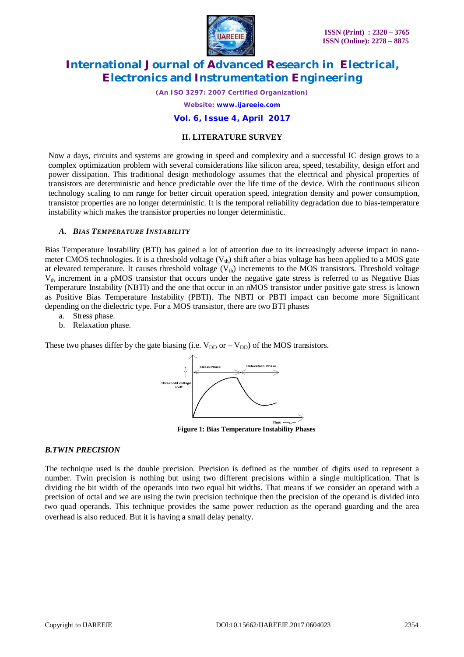

*(An ISO 3297: 2007 Certified Organization)*

*Website: [www.ijareeie.com](http://www.ijareeie.com)*

**Vol. 6, Issue 4, April 2017**

### **II. LITERATURE SURVEY**

Now a days, circuits and systems are growing in speed and complexity and a successful IC design grows to a complex optimization problem with several considerations like silicon area, speed, testability, design effort and power dissipation. This traditional design methodology assumes that the electrical and physical properties of transistors are deterministic and hence predictable over the life time of the device. With the continuous silicon technology scaling to nm range for better circuit operation speed, integration density and power consumption, transistor properties are no longer deterministic. It is the temporal reliability degradation due to bias-temperature instability which makes the transistor properties no longer deterministic.

### *A. BIAS TEMPERATURE INSTABILITY*

Bias Temperature Instability (BTI) has gained a lot of attention due to its increasingly adverse impact in nanometer CMOS technologies. It is a threshold voltage  $(V_{th})$  shift after a bias voltage has been applied to a MOS gate at elevated temperature. It causes threshold voltage  $(V_{th})$  increments to the MOS transistors. Threshold voltage  $V_{th}$  increment in a pMOS transistor that occurs under the negative gate stress is referred to as Negative Bias Temperature Instability (NBTI) and the one that occur in an nMOS transistor under positive gate stress is known as Positive Bias Temperature Instability (PBTI). The NBTI or PBTI impact can become more Significant depending on the dielectric type. For a MOS transistor, there are two BTI phases

- a. Stress phase.
- b. Relaxation phase.

These two phases differ by the gate biasing (i.e.  $V_{DD}$  or –  $V_{DD}$ ) of the MOS transistors.



**Figure 1: Bias Temperature Instability Phases**

### *B.TWIN PRECISION*

The technique used is the double precision. Precision is defined as the number of digits used to represent a number. Twin precision is nothing but using two different precisions within a single multiplication. That is dividing the bit width of the operands into two equal bit widths. That means if we consider an operand with a precision of octal and we are using the twin precision technique then the precision of the operand is divided into two quad operands. This technique provides the same power reduction as the operand guarding and the area overhead is also reduced. But it is having a small delay penalty.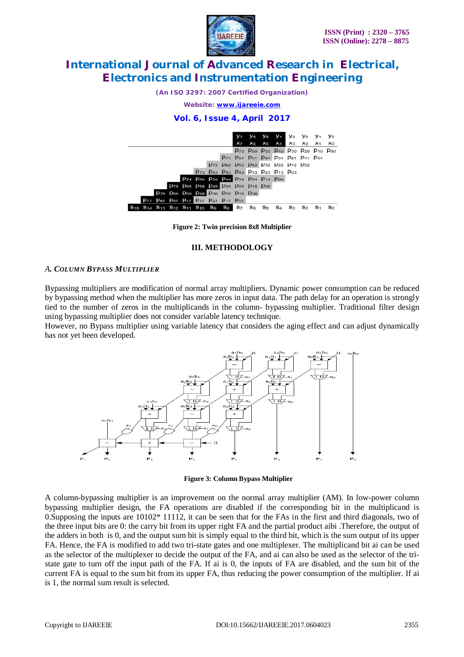

*(An ISO 3297: 2007 Certified Organization)*

*Website: [www.ijareeie.com](http://www.ijareeie.com)*

**Vol. 6, Issue 4, April 2017**



**Figure 2: Twin precision 8x8 Multiplier**

#### **III. METHODOLOGY**

#### *A. COLUMN BYPASS MULTIPLIER*

Bypassing multipliers are modification of normal array multipliers. Dynamic power consumption can be reduced by bypassing method when the multiplier has more zeros in input data. The path delay for an operation is strongly tied to the number of zeros in the multiplicands in the column- bypassing multiplier. Traditional filter design using bypassing multiplier does not consider variable latency technique.

However, no Bypass multiplier using variable latency that considers the aging effect and can adjust dynamically has not yet been developed.



 **Figure 3: Column Bypass Multiplier**

A column-bypassing multiplier is an improvement on the normal array multiplier (AM). In low-power column bypassing multiplier design, the FA operations are disabled if the corresponding bit in the multiplicand is 0. Supposing the inputs are  $10102^*$  11112, it can be seen that for the FAs in the first and third diagonals, two of the three input bits are 0: the carry bit from its upper right FA and the partial product aibi .Therefore, the output of the adders in both is 0, and the output sum bit is simply equal to the third bit, which is the sum output of its upper FA. Hence, the FA is modified to add two tri-state gates and one multiplexer. The multiplicand bit ai can be used as the selector of the multiplexer to decide the output of the FA, and ai can also be used as the selector of the tristate gate to turn off the input path of the FA. If ai is 0, the inputs of FA are disabled, and the sum bit of the current FA is equal to the sum bit from its upper FA, thus reducing the power consumption of the multiplier. If ai is 1, the normal sum result is selected.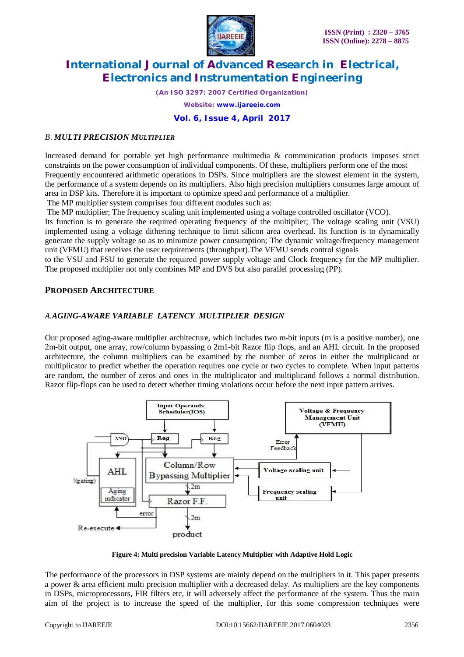

*(An ISO 3297: 2007 Certified Organization)*

*Website: [www.ijareeie.com](http://www.ijareeie.com)*

**Vol. 6, Issue 4, April 2017**

## *B. MULTI PRECISION MULTIPLIER*

Increased demand for portable yet high performance multimedia & communication products imposes strict constraints on the power consumption of individual components. Of these, multipliers perform one of the most Frequently encountered arithmetic operations in DSPs. Since multipliers are the slowest element in the system, the performance of a system depends on its multipliers. Also high precision multipliers consumes large amount of area in DSP kits. Therefore it is important to optimize speed and performance of a multiplier.

The MP multiplier system comprises four different modules such as:

The MP multiplier; The frequency scaling unit implemented using a voltage controlled oscillator (VCO).

Its function is to generate the required operating frequency of the multiplier; The voltage scaling unit (VSU) implemented using a voltage dithering technique to limit silicon area overhead. Its function is to dynamically generate the supply voltage so as to minimize power consumption; The dynamic voltage/frequency management unit (VFMU) that receives the user requirements (throughput).The VFMU sends control signals

to the VSU and FSU to generate the required power supply voltage and Clock frequency for the MP multiplier. The proposed multiplier not only combines MP and DVS but also parallel processing (PP).

# **PROPOSED ARCHITECTURE**

# *A.AGING-AWARE VARIABLE LATENCY MULTIPLIER DESIGN*

Our proposed aging-aware multiplier architecture, which includes two m-bit inputs (m is a positive number), one 2m-bit output, one array, row/column bypassing o 2m1-bit Razor flip flops, and an AHL circuit. In the proposed architecture, the column multipliers can be examined by the number of zeros in either the multiplicand or multiplicator to predict whether the operation requires one cycle or two cycles to complete. When input patterns are random, the number of zeros and ones in the multiplicator and multiplicand follows a normal distribution. Razor flip-flops can be used to detect whether timing violations occur before the next input pattern arrives.



**Figure 4: Multi precision Variable Latency Multiplier with Adaptive Hold Logic**

The performance of the processors in DSP systems are mainly depend on the multipliers in it. This paper presents a power  $\&$  area efficient multi precision multiplier with a decreased delay. As multipliers are the key components in DSPs, microprocessors, FIR filters etc, it will adversely affect the performance of the system. Thus the main aim of the project is to increase the speed of the multiplier, for this some compression techniques were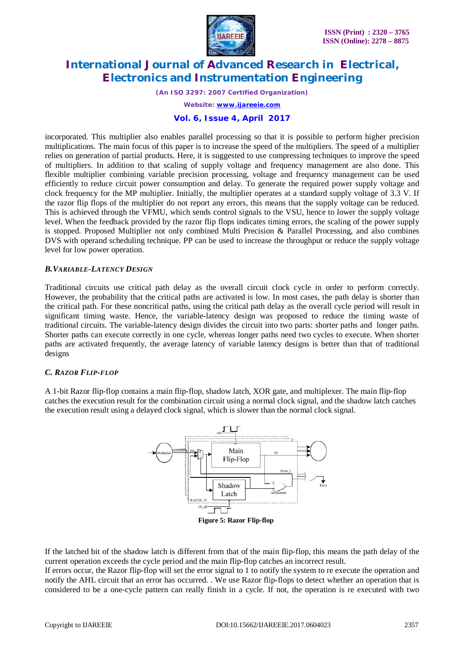

*(An ISO 3297: 2007 Certified Organization)*

*Website: [www.ijareeie.com](http://www.ijareeie.com)*

**Vol. 6, Issue 4, April 2017**

incorporated. This multiplier also enables parallel processing so that it is possible to perform higher precision multiplications. The main focus of this paper is to increase the speed of the multipliers. The speed of a multiplier relies on generation of partial products. Here, it is suggested to use compressing techniques to improve the speed of multipliers. In addition to that scaling of supply voltage and frequency management are also done. This flexible multiplier combining variable precision processing, voltage and frequency management can be used efficiently to reduce circuit power consumption and delay. To generate the required power supply voltage and clock frequency for the MP multiplier. Initially, the multiplier operates at a standard supply voltage of 3.3 V. If the razor flip flops of the multiplier do not report any errors, this means that the supply voltage can be reduced. This is achieved through the VFMU, which sends control signals to the VSU, hence to lower the supply voltage level. When the feedback provided by the razor flip flops indicates timing errors, the scaling of the power supply is stopped. Proposed Multiplier not only combined Multi Precision & Parallel Processing, and also combines DVS with operand scheduling technique. PP can be used to increase the throughput or reduce the supply voltage level for low power operation.

### *B.VARIABLE-LATENCY DESIGN*

Traditional circuits use critical path delay as the overall circuit clock cycle in order to perform correctly. However, the probability that the critical paths are activated is low. In most cases, the path delay is shorter than the critical path. For these noncritical paths, using the critical path delay as the overall cycle period will result in significant timing waste. Hence, the variable-latency design was proposed to reduce the timing waste of traditional circuits. The variable-latency design divides the circuit into two parts: shorter paths and longer paths. Shorter paths can execute correctly in one cycle, whereas longer paths need two cycles to execute. When shorter paths are activated frequently, the average latency of variable latency designs is better than that of traditional designs

#### *C. RAZOR FLIP-FLOP*

A 1-bit Razor flip-flop contains a main flip-flop, shadow latch, XOR gate, and multiplexer. The main flip-flop catches the execution result for the combination circuit using a normal clock signal, and the shadow latch catches the execution result using a delayed clock signal, which is slower than the normal clock signal.



If the latched bit of the shadow latch is different from that of the main flip-flop, this means the path delay of the current operation exceeds the cycle period and the main flip-flop catches an incorrect result.

If errors occur, the Razor flip-flop will set the error signal to 1 to notify the system to re execute the operation and notify the AHL circuit that an error has occurred. . We use Razor flip-flops to detect whether an operation that is considered to be a one-cycle pattern can really finish in a cycle. If not, the operation is re executed with two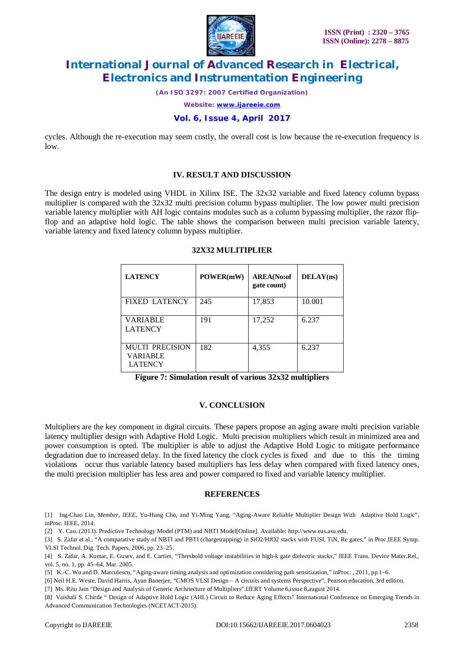

*(An ISO 3297: 2007 Certified Organization)*

*Website: [www.ijareeie.com](http://www.ijareeie.com)*

**Vol. 6, Issue 4, April 2017**

cycles. Although the re-execution may seem costly, the overall cost is low because the re-execution frequency is low.

#### **IV. RESULT AND DISCUSSION**

The design entry is modeled using VHDL in Xilinx ISE. The 32x32 variable and fixed latency column bypass multiplier is compared with the 32x32 multi precision column bypass multiplier. The low power multi precision variable latency multiplier with AH logic contains modules such as a column bypassing multiplier, the razor flipflop and an adaptive hold logic. The table shows the comparison between multi precision variable latency, variable latency and fixed latency column bypass multiplier.

#### **32X32 MULITIPLIER**

| <b>LATENCY</b>                                              | POWER(mW) | <b>AREA</b> (No:of<br>gate count) | DELAY(ns) |
|-------------------------------------------------------------|-----------|-----------------------------------|-----------|
| <b>FIXED LATENCY</b>                                        | 245       | 17,853                            | 10.001    |
| VARIABLE<br><b>LATENCY</b>                                  | 191       | 17,252                            | 6.237     |
| <b>MULTI PRECISION</b><br><b>VARIABLE</b><br><b>LATENCY</b> | 182       | 4,355                             | 6.237     |

**Figure 7: Simulation result of various 32x32 multipliers**

## **V. CONCLUSION**

Multipliers are the key component in digital circuits. These papers propose an aging aware multi precision variable latency multiplier design with Adaptive Hold Logic. Multi precision multipliers which result in minimized area and power consumption is opted. The multiplier is able to adjust the Adaptive Hold Logic to mitigate performance degradation due to increased delay. In the fixed latency the clock cycles is fixed and due to this the timing violations occur thus variable latency based multipliers has less delay when compared with fixed latency ones, the multi precision multiplier has less area and power compared to fixed and variable latency multiplier.

#### **REFERENCES**

[1] Ing-Chao Lin, *Member, IEEE*, Yu-Hung Cho, and Yi-Ming Yang, "Aging-Aware Reliable Multiplier Design With Adaptive Hold Logic", inProc. IEEE, 2014.

[2] Y. Cao. (2013). Predictive Technology Model (PTM) and NBTI Model[Online]. Available: <http://www.eas.asu.edu.>

[3] S. Zafar et al., "A comparative study of NBTI and PBTI (chargetrapping) in SiO2/HfO2 stacks with FUSI, TiN, Re gates," in Proc.IEEE Symp. VLSI Technol. Dig. Tech. Papers, 2006, pp. 23–25.

[4] S. Zafar, A. Kumar, E. Gusev, and E. Cartier, "Threshold voltage instabilities in high-k gate dielectric stacks," IEEE Trans. Device Mater.Rel., vol. 5, no. 1, pp. 45–64, Mar. 2005.

[5] K.-C. Wu and D. Marculescu, "Aging-aware timing analysis and optimization considering path sensitization," inProc. , 2011, pp.1–6.

[6] Neil H.E. Weste, David Harris, Ayan Banerjee, "CMOS VLSI Design – A circuits and systems Perspective", Pearson education, 3rd edition.

[7] Ms. Ritu Jain "Design and Analysis of Generic Architecture of Multipliers".IJERT Volume 6,issue 8,august 2014.

[8] Vaishali S. Chirde " Design of Adaptive Hold Logic (AHL) Circuit to Reduce Aging Effects" International Conference on Emerging Trends in Advanced Communication Technologies (NCETACT-2015).